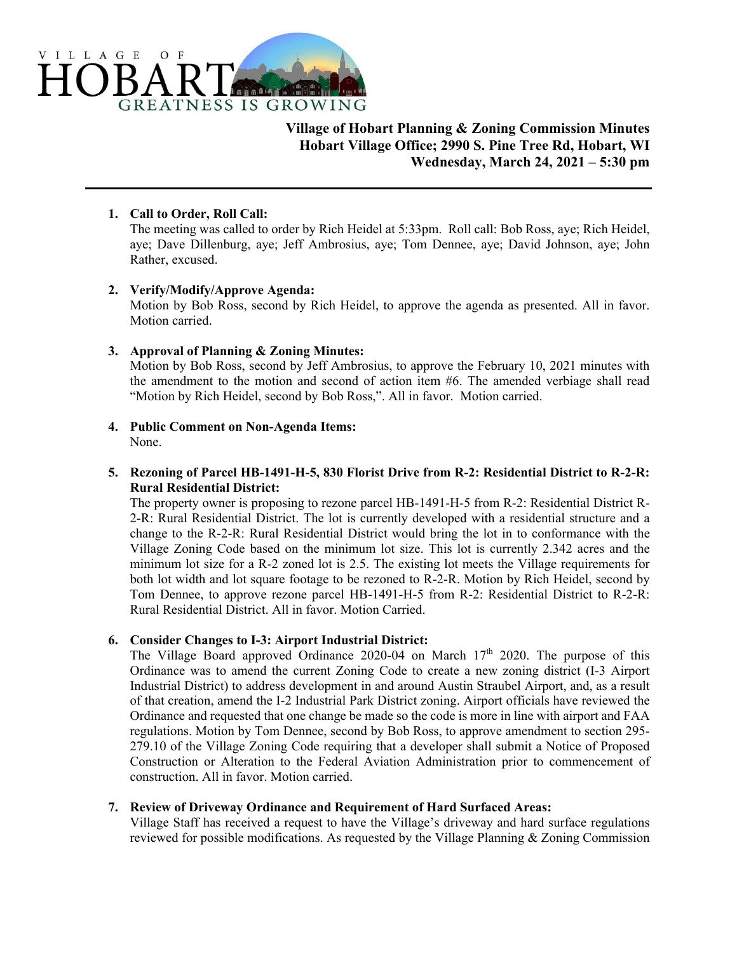

**Village of Hobart Planning & Zoning Commission Minutes Hobart Village Office; 2990 S. Pine Tree Rd, Hobart, WI Wednesday, March 24, 2021 – 5:30 pm** 

### **1. Call to Order, Roll Call:**

The meeting was called to order by Rich Heidel at 5:33pm. Roll call: Bob Ross, aye; Rich Heidel, aye; Dave Dillenburg, aye; Jeff Ambrosius, aye; Tom Dennee, aye; David Johnson, aye; John Rather, excused.

### **2. Verify/Modify/Approve Agenda:**

Motion by Bob Ross, second by Rich Heidel, to approve the agenda as presented. All in favor. Motion carried.

# **3. Approval of Planning & Zoning Minutes:**

Motion by Bob Ross, second by Jeff Ambrosius, to approve the February 10, 2021 minutes with the amendment to the motion and second of action item #6. The amended verbiage shall read "Motion by Rich Heidel, second by Bob Ross,". All in favor. Motion carried.

**4. Public Comment on Non-Agenda Items:**  None.

# **5. Rezoning of Parcel HB-1491-H-5, 830 Florist Drive from R-2: Residential District to R-2-R: Rural Residential District:**

The property owner is proposing to rezone parcel HB-1491-H-5 from R-2: Residential District R-2-R: Rural Residential District. The lot is currently developed with a residential structure and a change to the R-2-R: Rural Residential District would bring the lot in to conformance with the Village Zoning Code based on the minimum lot size. This lot is currently 2.342 acres and the minimum lot size for a R-2 zoned lot is 2.5. The existing lot meets the Village requirements for both lot width and lot square footage to be rezoned to R-2-R. Motion by Rich Heidel, second by Tom Dennee, to approve rezone parcel HB-1491-H-5 from R-2: Residential District to R-2-R: Rural Residential District. All in favor. Motion Carried.

### **6. Consider Changes to I-3: Airport Industrial District:**

The Village Board approved Ordinance 2020-04 on March  $17<sup>th</sup>$  2020. The purpose of this Ordinance was to amend the current Zoning Code to create a new zoning district (I-3 Airport Industrial District) to address development in and around Austin Straubel Airport, and, as a result of that creation, amend the I-2 Industrial Park District zoning. Airport officials have reviewed the Ordinance and requested that one change be made so the code is more in line with airport and FAA regulations. Motion by Tom Dennee, second by Bob Ross, to approve amendment to section 295- 279.10 of the Village Zoning Code requiring that a developer shall submit a Notice of Proposed Construction or Alteration to the Federal Aviation Administration prior to commencement of construction. All in favor. Motion carried.

### **7. Review of Driveway Ordinance and Requirement of Hard Surfaced Areas:**

Village Staff has received a request to have the Village's driveway and hard surface regulations reviewed for possible modifications. As requested by the Village Planning & Zoning Commission